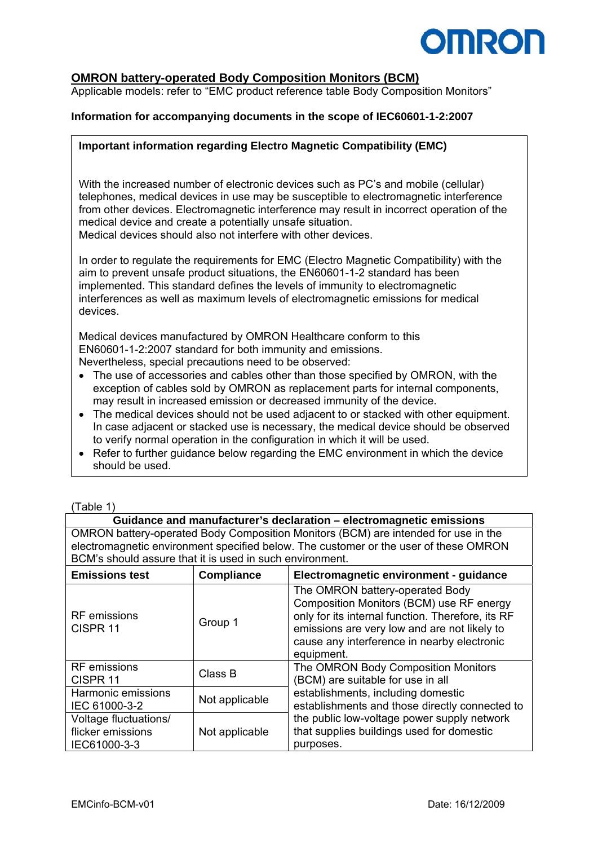

## **OMRON battery-operated Body Composition Monitors (BCM)**

Applicable models: refer to "EMC product reference table Body Composition Monitors"

### **Information for accompanying documents in the scope of IEC60601-1-2:2007**

#### **Important information regarding Electro Magnetic Compatibility (EMC)**

With the increased number of electronic devices such as PC's and mobile (cellular) telephones, medical devices in use may be susceptible to electromagnetic interference from other devices. Electromagnetic interference may result in incorrect operation of the medical device and create a potentially unsafe situation. Medical devices should also not interfere with other devices.

In order to regulate the requirements for EMC (Electro Magnetic Compatibility) with the aim to prevent unsafe product situations, the EN60601-1-2 standard has been implemented. This standard defines the levels of immunity to electromagnetic interferences as well as maximum levels of electromagnetic emissions for medical devices.

Medical devices manufactured by OMRON Healthcare conform to this EN60601-1-2:2007 standard for both immunity and emissions. Nevertheless, special precautions need to be observed:

- The use of accessories and cables other than those specified by OMRON, with the exception of cables sold by OMRON as replacement parts for internal components, may result in increased emission or decreased immunity of the device.
- The medical devices should not be used adjacent to or stacked with other equipment. In case adjacent or stacked use is necessary, the medical device should be observed to verify normal operation in the configuration in which it will be used.
- Refer to further guidance below regarding the EMC environment in which the device should be used.

| (Table 1) |  |  |
|-----------|--|--|
|           |  |  |

| Guidance and manufacturer's declaration – electromagnetic emissions                  |
|--------------------------------------------------------------------------------------|
| OMRON battery-operated Body Composition Monitors (BCM) are intended for use in the   |
| electromagnetic environment specified below. The customer or the user of these OMRON |
| BCM's should assure that it is used in such environment.                             |

| <b>Emissions test</b>                                      | <b>Compliance</b> | Electromagnetic environment - guidance                                                                                                                                                                                                        |
|------------------------------------------------------------|-------------------|-----------------------------------------------------------------------------------------------------------------------------------------------------------------------------------------------------------------------------------------------|
| <b>RF</b> emissions<br>CISPR <sub>11</sub>                 | Group 1           | The OMRON battery-operated Body<br>Composition Monitors (BCM) use RF energy<br>only for its internal function. Therefore, its RF<br>emissions are very low and are not likely to<br>cause any interference in nearby electronic<br>equipment. |
| <b>RF</b> emissions<br>CISPR <sub>11</sub>                 | Class B           | The OMRON Body Composition Monitors<br>(BCM) are suitable for use in all                                                                                                                                                                      |
| Harmonic emissions<br>IEC 61000-3-2                        | Not applicable    | establishments, including domestic<br>establishments and those directly connected to                                                                                                                                                          |
| Voltage fluctuations/<br>flicker emissions<br>IEC61000-3-3 | Not applicable    | the public low-voltage power supply network<br>that supplies buildings used for domestic<br>purposes.                                                                                                                                         |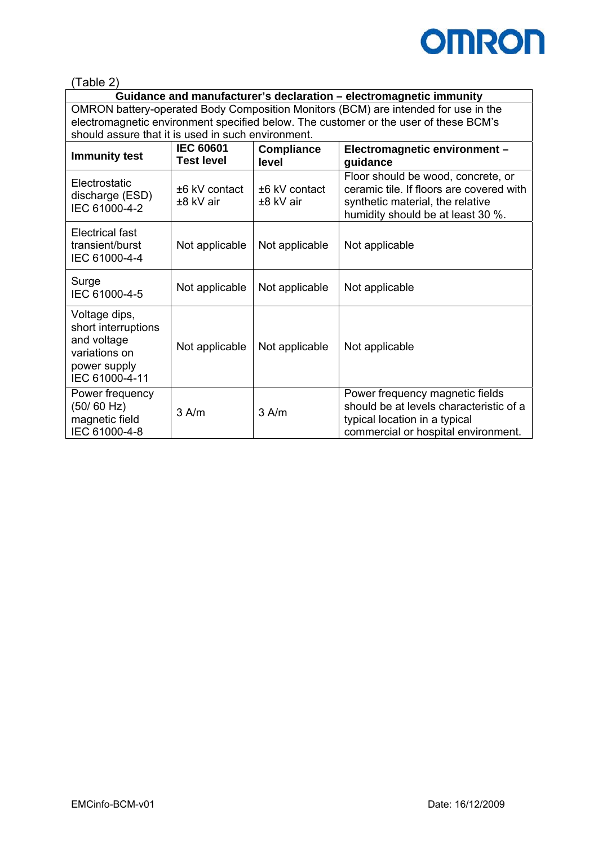

(Table 2)

**Guidance and manufacturer's declaration – electromagnetic immunity**  OMRON battery-operated Body Composition Monitors (BCM) are intended for use in the electromagnetic environment specified below. The customer or the user of these BCM's should assure that it is used in such environment.

| <b>Immunity test</b>                                                                                   | <b>IEC 60601</b><br><b>Test level</b> | <b>Compliance</b><br>level     | Electromagnetic environment -<br>guidance                                                                                                               |
|--------------------------------------------------------------------------------------------------------|---------------------------------------|--------------------------------|---------------------------------------------------------------------------------------------------------------------------------------------------------|
| Electrostatic<br>discharge (ESD)<br>IEC 61000-4-2                                                      | +6 kV contact<br>±8 kV air            | $±6$ kV contact<br>$±8$ kV air | Floor should be wood, concrete, or<br>ceramic tile. If floors are covered with<br>synthetic material, the relative<br>humidity should be at least 30 %. |
| Electrical fast<br>transient/burst<br>IEC 61000-4-4                                                    | Not applicable                        | Not applicable                 | Not applicable                                                                                                                                          |
| Surge<br>IEC 61000-4-5                                                                                 | Not applicable                        | Not applicable                 | Not applicable                                                                                                                                          |
| Voltage dips,<br>short interruptions<br>and voltage<br>variations on<br>power supply<br>IEC 61000-4-11 | Not applicable                        | Not applicable                 | Not applicable                                                                                                                                          |
| Power frequency<br>(50/60 Hz)<br>magnetic field<br>IEC 61000-4-8                                       | $3$ A/m                               | $3$ A/m                        | Power frequency magnetic fields<br>should be at levels characteristic of a<br>typical location in a typical<br>commercial or hospital environment.      |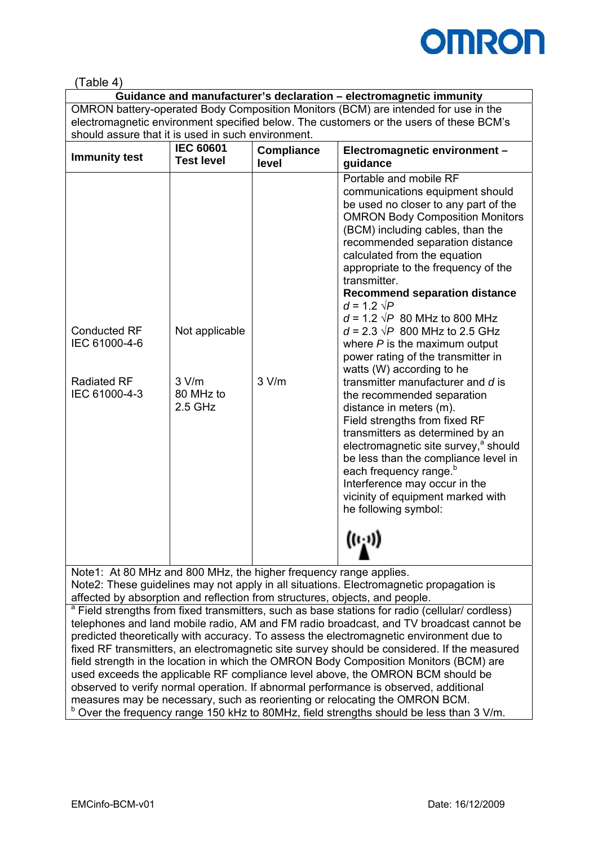

# (Table 4)

**Guidance and manufacturer's declaration – electromagnetic immunity**  OMRON battery-operated Body Composition Monitors (BCM) are intended for use in the electromagnetic environment specified below. The customers or the users of these BCM's should assure that it is used in such environment.

| <b>Immunity test</b>                 | <b>IEC 60601</b><br><b>Test level</b> | <b>Compliance</b><br>level | Electromagnetic environment -<br>guidance                                                                                                                                                                                                                                                                                                                                                                                                                                                                                                                      |
|--------------------------------------|---------------------------------------|----------------------------|----------------------------------------------------------------------------------------------------------------------------------------------------------------------------------------------------------------------------------------------------------------------------------------------------------------------------------------------------------------------------------------------------------------------------------------------------------------------------------------------------------------------------------------------------------------|
| <b>Conducted RF</b><br>IEC 61000-4-6 | Not applicable                        |                            | Portable and mobile RF<br>communications equipment should<br>be used no closer to any part of the<br><b>OMRON Body Composition Monitors</b><br>(BCM) including cables, than the<br>recommended separation distance<br>calculated from the equation<br>appropriate to the frequency of the<br>transmitter.<br><b>Recommend separation distance</b><br>$d = 1.2 \sqrt{P}$<br>$d = 1.2 \sqrt{P}$ 80 MHz to 800 MHz<br>$d = 2.3 \sqrt{P}$ 800 MHz to 2.5 GHz<br>where $P$ is the maximum output<br>power rating of the transmitter in<br>watts (W) according to he |
| <b>Radiated RF</b><br>IEC 61000-4-3  | 3 V/m<br>80 MHz to<br>$2.5$ GHz       | 3 V/m                      | transmitter manufacturer and d is<br>the recommended separation<br>distance in meters (m).<br>Field strengths from fixed RF<br>transmitters as determined by an<br>electromagnetic site survey, <sup>a</sup> should<br>be less than the compliance level in<br>each frequency range. <sup>b</sup><br>Interference may occur in the<br>vicinity of equipment marked with<br>he following symbol:<br>$((\cdot, \cdot))$                                                                                                                                          |

Note1: At 80 MHz and 800 MHz, the higher frequency range applies. Note2: These guidelines may not apply in all situations. Electromagnetic propagation is affected by absorption and reflection from structures, objects, and people.

<sup>a</sup> Field strengths from fixed transmitters, such as base stations for radio (cellular/ cordless) telephones and land mobile radio, AM and FM radio broadcast, and TV broadcast cannot be predicted theoretically with accuracy. To assess the electromagnetic environment due to fixed RF transmitters, an electromagnetic site survey should be considered. If the measured field strength in the location in which the OMRON Body Composition Monitors (BCM) are used exceeds the applicable RF compliance level above, the OMRON BCM should be observed to verify normal operation. If abnormal performance is observed, additional measures may be necessary, such as reorienting or relocating the OMRON BCM. <sup>b</sup> Over the frequency range 150 kHz to 80MHz, field strengths should be less than 3 V/m.